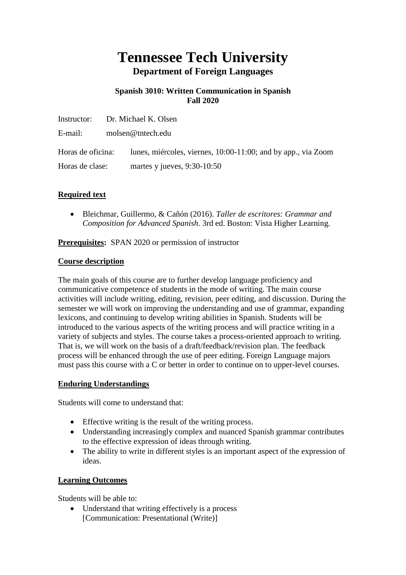# **Tennessee Tech University Department of Foreign Languages**

## **Spanish 3010: Written Communication in Spanish Fall 2020**

|                   |  | Instructor: Dr. Michael K. Olsen                              |  |  |
|-------------------|--|---------------------------------------------------------------|--|--|
| E-mail:           |  | molsen@tntech.edu                                             |  |  |
| Horas de oficina: |  | lunes, miércoles, viernes, 10:00-11:00; and by app., via Zoom |  |  |
| Horas de clase:   |  | martes y jueves, $9:30-10:50$                                 |  |  |

## **Required text**

 Bleichmar, Guillermo, & Cañón (2016). *Taller de escritores: Grammar and Composition for Advanced Spanish*. 3rd ed. Boston: Vista Higher Learning.

**Prerequisites:** SPAN 2020 or permission of instructor

## **Course description**

The main goals of this course are to further develop language proficiency and communicative competence of students in the mode of writing. The main course activities will include writing, editing, revision, peer editing, and discussion. During the semester we will work on improving the understanding and use of grammar, expanding lexicons, and continuing to develop writing abilities in Spanish. Students will be introduced to the various aspects of the writing process and will practice writing in a variety of subjects and styles. The course takes a process-oriented approach to writing. That is, we will work on the basis of a draft/feedback/revision plan. The feedback process will be enhanced through the use of peer editing. Foreign Language majors must pass this course with a C or better in order to continue on to upper-level courses.

## **Enduring Understandings**

Students will come to understand that:

- Effective writing is the result of the writing process.
- Understanding increasingly complex and nuanced Spanish grammar contributes to the effective expression of ideas through writing.
- The ability to write in different styles is an important aspect of the expression of ideas.

## **Learning Outcomes**

Students will be able to:

 Understand that writing effectively is a process [Communication: Presentational (Write)]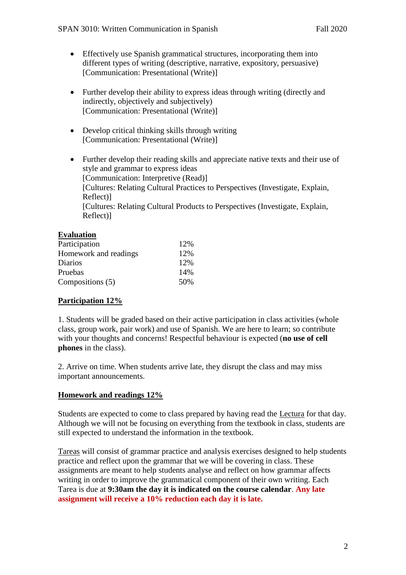- Effectively use Spanish grammatical structures, incorporating them into different types of writing (descriptive, narrative, expository, persuasive) [Communication: Presentational (Write)]
- Further develop their ability to express ideas through writing (directly and indirectly, objectively and subjectively) [Communication: Presentational (Write)]
- Develop critical thinking skills through writing [Communication: Presentational (Write)]
- Further develop their reading skills and appreciate native texts and their use of style and grammar to express ideas [Communication: Interpretive (Read)] [Cultures: Relating Cultural Practices to Perspectives (Investigate, Explain, Reflect)] [Cultures: Relating Cultural Products to Perspectives (Investigate, Explain, Reflect)]

## **Evaluation**

| Participation         | 12% |
|-----------------------|-----|
| Homework and readings | 12% |
| Diarios               | 12% |
| Pruebas               | 14% |
| Compositions (5)      | 50% |

## **Participation 12%**

1. Students will be graded based on their active participation in class activities (whole class, group work, pair work) and use of Spanish. We are here to learn; so contribute with your thoughts and concerns! Respectful behaviour is expected (**no use of cell phones** in the class).

2. Arrive on time. When students arrive late, they disrupt the class and may miss important announcements.

## **Homework and readings 12%**

Students are expected to come to class prepared by having read the Lectura for that day. Although we will not be focusing on everything from the textbook in class, students are still expected to understand the information in the textbook.

Tareas will consist of grammar practice and analysis exercises designed to help students practice and reflect upon the grammar that we will be covering in class. These assignments are meant to help students analyse and reflect on how grammar affects writing in order to improve the grammatical component of their own writing. Each Tarea is due at **9:30am the day it is indicated on the course calendar**. **Any late assignment will receive a 10% reduction each day it is late.**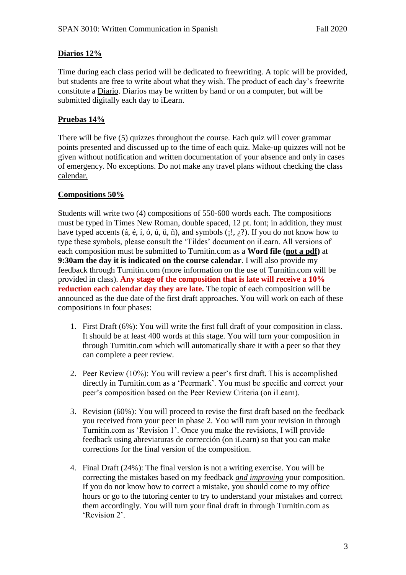## **Diarios 12%**

Time during each class period will be dedicated to freewriting. A topic will be provided, but students are free to write about what they wish. The product of each day's freewrite constitute a Diario. Diarios may be written by hand or on a computer, but will be submitted digitally each day to iLearn.

## **Pruebas 14%**

There will be five (5) quizzes throughout the course. Each quiz will cover grammar points presented and discussed up to the time of each quiz. Make-up quizzes will not be given without notification and written documentation of your absence and only in cases of emergency. No exceptions. Do not make any travel plans without checking the class calendar.

## **Compositions 50%**

Students will write two (4) compositions of 550-600 words each. The compositions must be typed in Times New Roman, double spaced, 12 pt. font; in addition, they must have typed accents (á, é, í, ó, ú, ü, ñ), and symbols (;!,  $\lambda$ ). If you do not know how to type these symbols, please consult the 'Tildes' document on iLearn. All versions of each composition must be submitted to Turnitin.com as a **Word file (not a pdf)** at **9:30am the day it is indicated on the course calendar**. I will also provide my feedback through Turnitin.com (more information on the use of Turnitin.com will be provided in class). **Any stage of the composition that is late will receive a 10% reduction each calendar day they are late.** The topic of each composition will be announced as the due date of the first draft approaches. You will work on each of these compositions in four phases:

- 1. First Draft (6%): You will write the first full draft of your composition in class. It should be at least 400 words at this stage. You will turn your composition in through Turnitin.com which will automatically share it with a peer so that they can complete a peer review.
- 2. Peer Review (10%): You will review a peer's first draft. This is accomplished directly in Turnitin.com as a 'Peermark'. You must be specific and correct your peer's composition based on the Peer Review Criteria (on iLearn).
- 3. Revision (60%): You will proceed to revise the first draft based on the feedback you received from your peer in phase 2. You will turn your revision in through Turnitin.com as 'Revision 1'. Once you make the revisions, I will provide feedback using abreviaturas de corrección (on iLearn) so that you can make corrections for the final version of the composition.
- 4. Final Draft (24%): The final version is not a writing exercise. You will be correcting the mistakes based on my feedback *and improving* your composition. If you do not know how to correct a mistake, you should come to my office hours or go to the tutoring center to try to understand your mistakes and correct them accordingly. You will turn your final draft in through Turnitin.com as 'Revision 2'.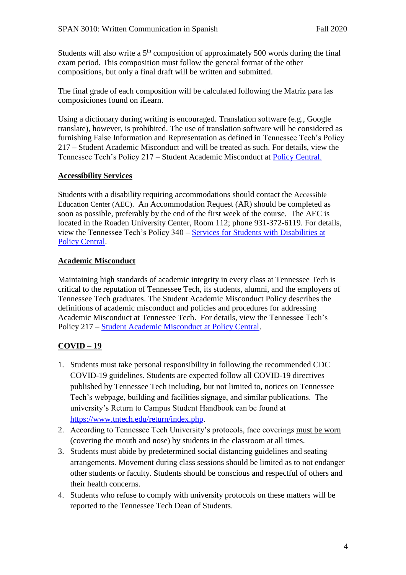Students will also write a  $5<sup>th</sup>$  composition of approximately 500 words during the final exam period. This composition must follow the general format of the other compositions, but only a final draft will be written and submitted.

The final grade of each composition will be calculated following the Matriz para las composiciones found on iLearn.

Using a dictionary during writing is encouraged. Translation software (e.g., Google translate), however, is prohibited. The use of translation software will be considered as furnishing False Information and Representation as defined in Tennessee Tech's Policy 217 – Student Academic Misconduct and will be treated as such. For details, view the Tennessee Tech's Policy 217 – Student Academic Misconduct at [Policy Central.](https://www.tntech.edu/policies/)

## **Accessibility Services**

Students with a disability requiring accommodations should contact the Accessible Education Center (AEC). An Accommodation Request (AR) should be completed as soon as possible, preferably by the end of the first week of the course. The AEC is located in the Roaden University Center, Room 112; phone 931-372-6119. For details, view the Tennessee Tech's Policy 340 – [Services for Students with Disabilities at](https://tntech.policytech.com/docview/?docid=1131&public=true)  [Policy Central.](https://tntech.policytech.com/docview/?docid=1131&public=true)

## **Academic Misconduct**

Maintaining high standards of academic integrity in every class at Tennessee Tech is critical to the reputation of Tennessee Tech, its students, alumni, and the employers of Tennessee Tech graduates. The Student Academic Misconduct Policy describes the definitions of academic misconduct and policies and procedures for addressing Academic Misconduct at Tennessee Tech. For details, view the Tennessee Tech's Policy 217 – [Student Academic Misconduct at Policy Central.](https://tntech.policytech.com/dotNet/documents/?docid=701)

## **COVID – 19**

- 1. Students must take personal responsibility in following the recommended CDC COVID-19 guidelines. Students are expected follow all COVID-19 directives published by Tennessee Tech including, but not limited to, notices on Tennessee Tech's webpage, building and facilities signage, and similar publications. The university's Return to Campus Student Handbook can be found at [https://www.tntech.edu/return/index.php.](https://www.tntech.edu/return/index.php)
- 2. According to Tennessee Tech University's protocols, face coverings must be worn (covering the mouth and nose) by students in the classroom at all times.
- 3. Students must abide by predetermined social distancing guidelines and seating arrangements. Movement during class sessions should be limited as to not endanger other students or faculty. Students should be conscious and respectful of others and their health concerns.
- 4. Students who refuse to comply with university protocols on these matters will be reported to the Tennessee Tech Dean of Students.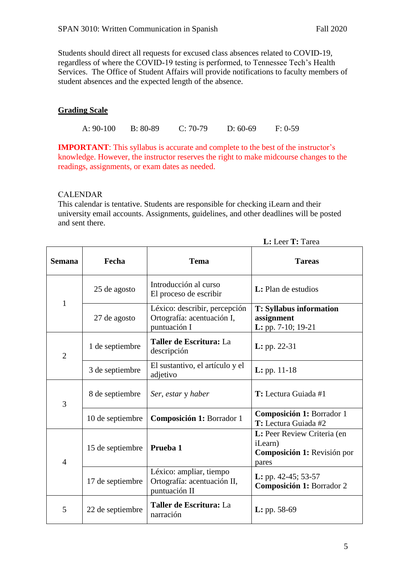Students should direct all requests for excused class absences related to COVID-19, regardless of where the COVID-19 testing is performed, to Tennessee Tech's Health Services. The Office of Student Affairs will provide notifications to faculty members of student absences and the expected length of the absence.

## **Grading Scale**

A: 90-100 B: 80-89 C: 70-79 D: 60-69 F: 0-59

**IMPORTANT:** This syllabus is accurate and complete to the best of the instructor's knowledge. However, the instructor reserves the right to make midcourse changes to the readings, assignments, or exam dates as needed.

#### CALENDAR

This calendar is tentative. Students are responsible for checking iLearn and their university email accounts. Assignments, guidelines, and other deadlines will be posted and sent there.

| <b>Semana</b>  | Fecha            | <b>Tema</b>                                                                 | <b>Tareas</b>                                                                  |
|----------------|------------------|-----------------------------------------------------------------------------|--------------------------------------------------------------------------------|
| 1              | 25 de agosto     | Introducción al curso<br>El proceso de escribir                             | <b>L</b> : Plan de estudios                                                    |
|                | 27 de agosto     | Léxico: describir, percepción<br>Ortografía: acentuación I,<br>puntuación I | <b>T: Syllabus information</b><br>assignment<br>L: pp. 7-10; 19-21             |
| $\overline{2}$ | 1 de septiembre  | Taller de Escritura: La<br>descripción                                      | <b>L</b> : pp. 22-31                                                           |
|                | 3 de septiembre  | El sustantivo, el artículo y el<br>adjetivo                                 | <b>L</b> : pp. $11-18$                                                         |
| 3              | 8 de septiembre  | Ser, estar y haber                                                          | T: Lectura Guiada #1                                                           |
|                | 10 de septiembre | Composición 1: Borrador 1                                                   | Composición 1: Borrador 1<br>T: Lectura Guiada #2                              |
| $\overline{4}$ | 15 de septiembre | Prueba 1                                                                    | L: Peer Review Criteria (en<br>iLearn)<br>Composición 1: Revisión por<br>pares |
|                | 17 de septiembre | Léxico: ampliar, tiempo<br>Ortografía: acentuación II,<br>puntuación II     | <b>L</b> : pp. 42-45; 53-57<br>Composición 1: Borrador 2                       |
| 5              | 22 de septiembre | Taller de Escritura: La<br>narración                                        | <b>L</b> : pp. $58-69$                                                         |

 **L:** Leer **T:** Tarea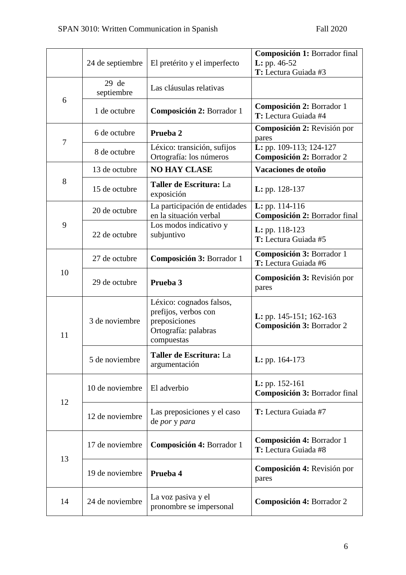|    | 24 de septiembre      | El pretérito y el imperfecto                                                                            | Composición 1: Borrador final<br>L: pp. 46-52<br>T: Lectura Guiada #3 |
|----|-----------------------|---------------------------------------------------------------------------------------------------------|-----------------------------------------------------------------------|
| 6  | $29$ de<br>septiembre | Las cláusulas relativas                                                                                 |                                                                       |
|    | 1 de octubre          | Composición 2: Borrador 1                                                                               | Composición 2: Borrador 1<br>T: Lectura Guiada #4                     |
| 7  | 6 de octubre          | Prueba 2                                                                                                | Composición 2: Revisión por<br>pares                                  |
|    | 8 de octubre          | Léxico: transición, sufijos<br>Ortografía: los números                                                  | L: pp. 109-113; 124-127<br>Composición 2: Borrador 2                  |
| 8  | 13 de octubre         | <b>NO HAY CLASE</b>                                                                                     | Vacaciones de otoño                                                   |
|    | 15 de octubre         | Taller de Escritura: La<br>exposición                                                                   | <b>L</b> : pp. $128-137$                                              |
| 9  | 20 de octubre         | La participación de entidades<br>en la situación verbal                                                 | $L:$ pp. 114-116<br>Composición 2: Borrador final                     |
|    | 22 de octubre         | Los modos indicativo y<br>subjuntivo                                                                    | <b>L</b> : pp. $118-123$<br>T: Lectura Guiada #5                      |
| 10 | 27 de octubre         | Composición 3: Borrador 1                                                                               | Composición 3: Borrador 1<br>T: Lectura Guiada #6                     |
|    | 29 de octubre         | Prueba 3                                                                                                | <b>Composición 3:</b> Revisión por<br>pares                           |
| 11 | 3 de noviembre        | Léxico: cognados falsos,<br>prefijos, verbos con<br>preposiciones<br>Ortografía: palabras<br>compuestas | <b>L</b> : pp. 145-151; 162-163<br>Composición 3: Borrador 2          |
|    | 5 de noviembre        | Taller de Escritura: La<br>argumentación                                                                | <b>L:</b> pp. $164-173$                                               |
| 12 | 10 de noviembre       | El adverbio                                                                                             | <b>L</b> : pp. $152-161$<br>Composición 3: Borrador final             |
|    | 12 de noviembre       | Las preposiciones y el caso<br>de por y para                                                            | T: Lectura Guiada #7                                                  |
| 13 | 17 de noviembre       | Composición 4: Borrador 1                                                                               | Composición 4: Borrador 1<br>T: Lectura Guiada #8                     |
|    | 19 de noviembre       | Prueba 4                                                                                                | Composición 4: Revisión por<br>pares                                  |
| 14 | 24 de noviembre       | La voz pasiva y el<br>pronombre se impersonal                                                           | Composición 4: Borrador 2                                             |